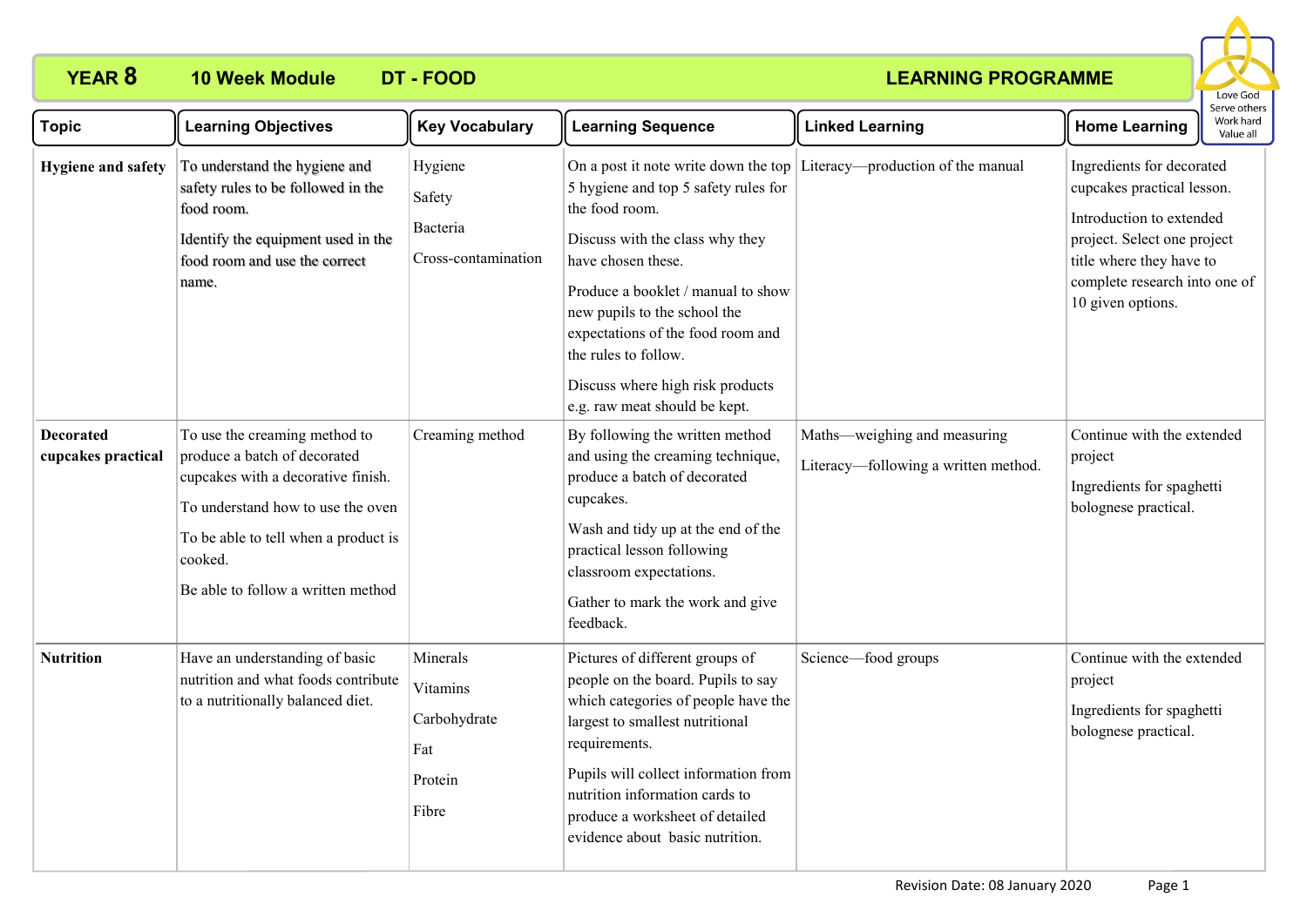# **YEAR 8 10 Week Module DT - FOOD**

### **LEARNING PROGRAMME**



| <b>Topic</b>                           | <b>Learning Objectives</b>                                                                                                                                                                                                        | <b>Key Vocabulary</b>                                           | <b>Learning Sequence</b>                                                                                                                                                                                                                                                                                                | <b>Linked Learning</b>                                                 | <b>Home Learning</b>                                                                                                                                                                                 | Work hard<br>Value all |
|----------------------------------------|-----------------------------------------------------------------------------------------------------------------------------------------------------------------------------------------------------------------------------------|-----------------------------------------------------------------|-------------------------------------------------------------------------------------------------------------------------------------------------------------------------------------------------------------------------------------------------------------------------------------------------------------------------|------------------------------------------------------------------------|------------------------------------------------------------------------------------------------------------------------------------------------------------------------------------------------------|------------------------|
| <b>Hygiene and safety</b>              | To understand the hygiene and<br>safety rules to be followed in the<br>food room.<br>Identify the equipment used in the<br>food room and use the correct<br>name.                                                                 | Hygiene<br>Safety<br>Bacteria<br>Cross-contamination            | 5 hygiene and top 5 safety rules for<br>the food room.<br>Discuss with the class why they<br>have chosen these.<br>Produce a booklet / manual to show<br>new pupils to the school the<br>expectations of the food room and<br>the rules to follow.<br>Discuss where high risk products<br>e.g. raw meat should be kept. | On a post it note write down the top Literacy—production of the manual | Ingredients for decorated<br>cupcakes practical lesson.<br>Introduction to extended<br>project. Select one project<br>title where they have to<br>complete research into one of<br>10 given options. |                        |
| <b>Decorated</b><br>cupcakes practical | To use the creaming method to<br>produce a batch of decorated<br>cupcakes with a decorative finish.<br>To understand how to use the oven<br>To be able to tell when a product is<br>cooked.<br>Be able to follow a written method | Creaming method                                                 | By following the written method<br>and using the creaming technique,<br>produce a batch of decorated<br>cupcakes.<br>Wash and tidy up at the end of the<br>practical lesson following<br>classroom expectations.<br>Gather to mark the work and give<br>feedback.                                                       | Maths—weighing and measuring<br>Literacy—following a written method.   | Continue with the extended<br>project<br>Ingredients for spaghetti<br>bolognese practical.                                                                                                           |                        |
| <b>Nutrition</b>                       | Have an understanding of basic<br>nutrition and what foods contribute<br>to a nutritionally balanced diet.                                                                                                                        | Minerals<br>Vitamins<br>Carbohydrate<br>Fat<br>Protein<br>Fibre | Pictures of different groups of<br>people on the board. Pupils to say<br>which categories of people have the<br>largest to smallest nutritional<br>requirements.<br>Pupils will collect information from<br>nutrition information cards to<br>produce a worksheet of detailed<br>evidence about basic nutrition.        | Science-food groups                                                    | Continue with the extended<br>project<br>Ingredients for spaghetti<br>bolognese practical.                                                                                                           |                        |